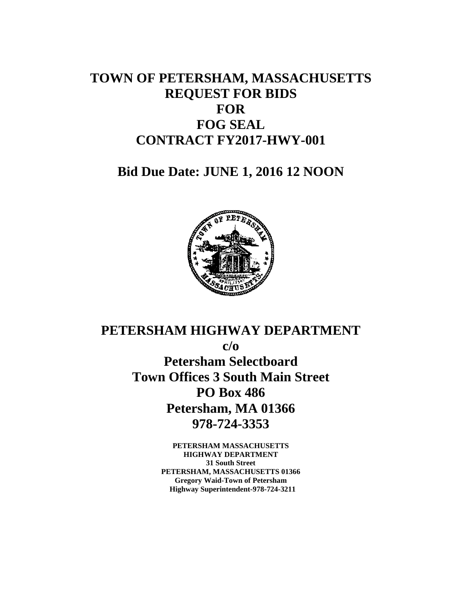## **TOWN OF PETERSHAM, MASSACHUSETTS REQUEST FOR BIDS FOR FOG SEAL CONTRACT FY2017-HWY-001**

**Bid Due Date: JUNE 1, 2016 12 NOON** 



# **PETERSHAM HIGHWAY DEPARTMENT c/o Petersham Selectboard Town Offices 3 South Main Street PO Box 486 Petersham, MA 01366 978-724-3353**

**PETERSHAM MASSACHUSETTS HIGHWAY DEPARTMENT 31 South Street PETERSHAM, MASSACHUSETTS 01366 Gregory Waid-Town of Petersham Highway Superintendent-978-724-3211**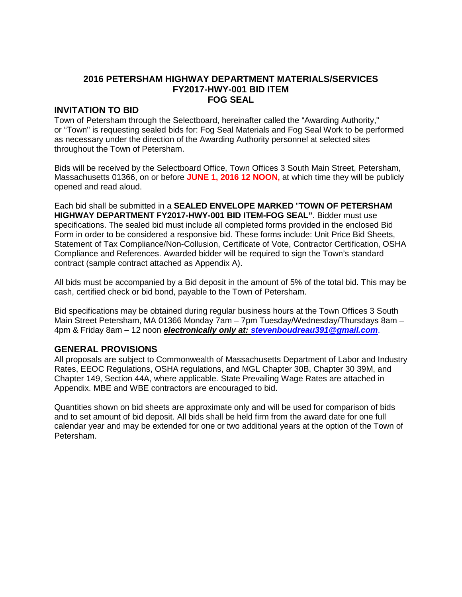### **2016 PETERSHAM HIGHWAY DEPARTMENT MATERIALS/SERVICES FY2017-HWY-001 BID ITEM FOG SEAL**

#### **INVITATION TO BID**

Town of Petersham through the Selectboard, hereinafter called the "Awarding Authority," or "Town" is requesting sealed bids for: Fog Seal Materials and Fog Seal Work to be performed as necessary under the direction of the Awarding Authority personnel at selected sites throughout the Town of Petersham.

Bids will be received by the Selectboard Office, Town Offices 3 South Main Street, Petersham, Massachusetts 01366, on or before **JUNE 1, 2016 12 NOON,** at which time they will be publicly opened and read aloud.

Each bid shall be submitted in a **SEALED ENVELOPE MARKED** "**TOWN OF PETERSHAM HIGHWAY DEPARTMENT FY2017-HWY-001 BID ITEM-FOG SEAL"**. Bidder must use specifications. The sealed bid must include all completed forms provided in the enclosed Bid Form in order to be considered a responsive bid. These forms include: Unit Price Bid Sheets, Statement of Tax Compliance/Non-Collusion, Certificate of Vote, Contractor Certification, OSHA Compliance and References. Awarded bidder will be required to sign the Town's standard contract (sample contract attached as Appendix A).

All bids must be accompanied by a Bid deposit in the amount of 5% of the total bid. This may be cash, certified check or bid bond, payable to the Town of Petersham.

Bid specifications may be obtained during regular business hours at the Town Offices 3 South Main Street Petersham, MA 01366 Monday 7am – 7pm Tuesday/Wednesday/Thursdays 8am – 4pm & Friday 8am – 12 noon **electronically only at: stevenboudreau391@gmail.com**.

#### **GENERAL PROVISIONS**

All proposals are subject to Commonwealth of Massachusetts Department of Labor and Industry Rates, EEOC Regulations, OSHA regulations, and MGL Chapter 30B, Chapter 30 39M, and Chapter 149, Section 44A, where applicable. State Prevailing Wage Rates are attached in Appendix. MBE and WBE contractors are encouraged to bid.

Quantities shown on bid sheets are approximate only and will be used for comparison of bids and to set amount of bid deposit. All bids shall be held firm from the award date for one full calendar year and may be extended for one or two additional years at the option of the Town of Petersham.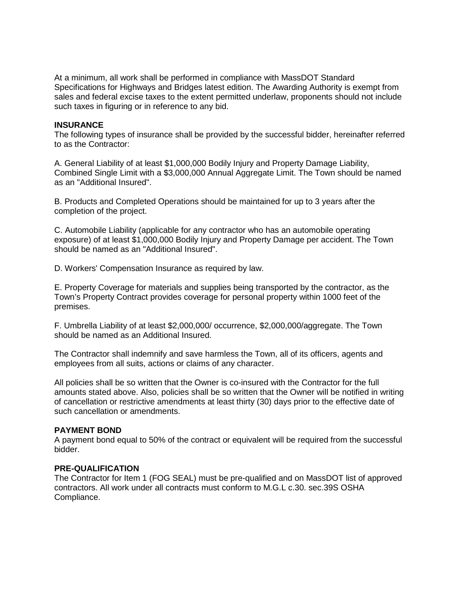At a minimum, all work shall be performed in compliance with MassDOT Standard Specifications for Highways and Bridges latest edition. The Awarding Authority is exempt from sales and federal excise taxes to the extent permitted underlaw, proponents should not include such taxes in figuring or in reference to any bid.

#### **INSURANCE**

The following types of insurance shall be provided by the successful bidder, hereinafter referred to as the Contractor:

A. General Liability of at least \$1,000,000 Bodily Injury and Property Damage Liability, Combined Single Limit with a \$3,000,000 Annual Aggregate Limit. The Town should be named as an "Additional Insured".

B. Products and Completed Operations should be maintained for up to 3 years after the completion of the project.

C. Automobile Liability (applicable for any contractor who has an automobile operating exposure) of at least \$1,000,000 Bodily Injury and Property Damage per accident. The Town should be named as an "Additional Insured".

D. Workers' Compensation Insurance as required by law.

E. Property Coverage for materials and supplies being transported by the contractor, as the Town's Property Contract provides coverage for personal property within 1000 feet of the premises.

F. Umbrella Liability of at least \$2,000,000/ occurrence, \$2,000,000/aggregate. The Town should be named as an Additional Insured.

The Contractor shall indemnify and save harmless the Town, all of its officers, agents and employees from all suits, actions or claims of any character.

All policies shall be so written that the Owner is co-insured with the Contractor for the full amounts stated above. Also, policies shall be so written that the Owner will be notified in writing of cancellation or restrictive amendments at least thirty (30) days prior to the effective date of such cancellation or amendments.

#### **PAYMENT BOND**

A payment bond equal to 50% of the contract or equivalent will be required from the successful bidder.

#### **PRE-QUALIFICATION**

The Contractor for Item 1 (FOG SEAL) must be pre-qualified and on MassDOT list of approved contractors. All work under all contracts must conform to M.G.L c.30. sec.39S OSHA Compliance.